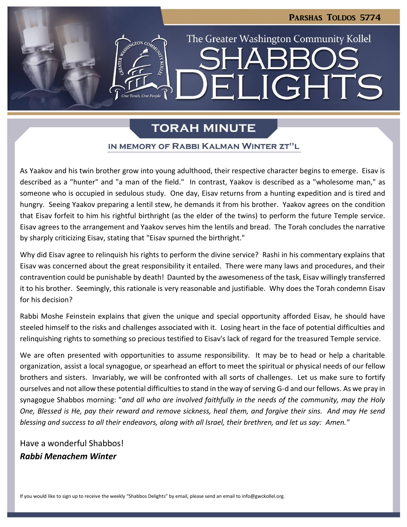LIGHTS

The Greater Washington Community Kollel

# **TORAH MINUTE**

 $\blacksquare$ 

### IN MEMORY OF RABBI KALMAN WINTER ZT"L

As Yaakov and his twin brother grow into young adulthood, their respective character begins to emerge. Eisav is described as a "hunter" and "a man of the field." In contrast, Yaakov is described as a "wholesome man," as someone who is occupied in sedulous study. One day, Eisav returns from a hunting expedition and is tired and hungry. Seeing Yaakov preparing a lentil stew, he demands it from his brother. Yaakov agrees on the condition that Eisav forfeit to him his rightful birthright (as the elder of the twins) to perform the future Temple service. Eisav agrees to the arrangement and Yaakov serves him the lentils and bread. The Torah concludes the narrative by sharply criticizing Eisav, stating that "Eisav spurned the birthright."

Why did Eisav agree to relinquish his rights to perform the divine service? Rashi in his commentary explains that Eisav was concerned about the great responsibility it entailed. There were many laws and procedures, and their contravention could be punishable by death! Daunted by the awesomeness of the task, Eisav willingly transferred it to his brother. Seemingly, this rationale is very reasonable and justifiable. Why does the Torah condemn Eisav for his decision?

Rabbi Moshe Feinstein explains that given the unique and special opportunity afforded Eisav, he should have steeled himself to the risks and challenges associated with it. Losing heart in the face of potential difficulties and relinquishing rights to something so precious testified to Eisav's lack of regard for the treasured Temple service.

We are often presented with opportunities to assume responsibility. It may be to head or help a charitable organization, assist a local synagogue, or spearhead an effort to meet the spiritual or physical needs of our fellow brothers and sisters. Invariably, we will be confronted with all sorts of challenges. Let us make sure to fortify ourselves and not allow these potential difficulties to stand in the way of serving G-d and our fellows. As we pray in synagogue Shabbos morning: "*and all who are involved faithfully in the needs of the community, may the Holy One, Blessed is He, pay their reward and remove sickness, heal them, and forgive their sins. And may He send blessing and success to all their endeavors, along with all Israel, their brethren, and let us say: Amen."*

Have a wonderful Shabbos! *Rabbi Menachem Winter*